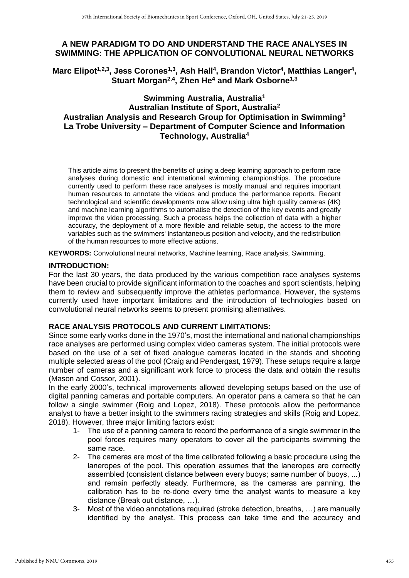# **A NEW PARADIGM TO DO AND UNDERSTAND THE RACE ANALYSES IN SWIMMING: THE APPLICATION OF CONVOLUTIONAL NEURAL NETWORKS**

Marc Elipot<sup>1,2,3</sup>, Jess Corones<sup>1,3</sup>, Ash Hall<sup>4</sup>, Brandon Victor<sup>4</sup>, Matthias Langer<sup>4</sup>, **Stuart Morgan2,4 , Zhen He<sup>4</sup> and Mark Osborne1,3**

# **Swimming Australia, Australia<sup>1</sup> Australian Institute of Sport, Australia<sup>2</sup> Australian Analysis and Research Group for Optimisation in Swimming<sup>3</sup> La Trobe University – Department of Computer Science and Information Technology, Australia<sup>4</sup>**

This article aims to present the benefits of using a deep learning approach to perform race analyses during domestic and international swimming championships. The procedure currently used to perform these race analyses is mostly manual and requires important human resources to annotate the videos and produce the performance reports. Recent technological and scientific developments now allow using ultra high quality cameras (4K) and machine learning algorithms to automatise the detection of the key events and greatly improve the video processing. Such a process helps the collection of data with a higher accuracy, the deployment of a more flexible and reliable setup, the access to the more variables such as the swimmers' instantaneous position and velocity, and the redistribution of the human resources to more effective actions.

**KEYWORDS:** Convolutional neural networks, Machine learning, Race analysis, Swimming.

#### **INTRODUCTION:**

For the last 30 years, the data produced by the various competition race analyses systems have been crucial to provide significant information to the coaches and sport scientists, helping them to review and subsequently improve the athletes performance. However, the systems currently used have important limitations and the introduction of technologies based on convolutional neural networks seems to present promising alternatives.

## **RACE ANALYSIS PROTOCOLS AND CURRENT LIMITATIONS:**

Since some early works done in the 1970's, most the international and national championships race analyses are performed using complex video cameras system. The initial protocols were based on the use of a set of fixed analogue cameras located in the stands and shooting multiple selected areas of the pool (Craig and Pendergast, 1979). These setups require a large number of cameras and a significant work force to process the data and obtain the results (Mason and Cossor, 2001).

In the early 2000's, technical improvements allowed developing setups based on the use of digital panning cameras and portable computers. An operator pans a camera so that he can follow a single swimmer (Roig and Lopez, 2018). These protocols allow the performance analyst to have a better insight to the swimmers racing strategies and skills (Roig and Lopez, 2018). However, three major limiting factors exist:

- 1- The use of a panning camera to record the performance of a single swimmer in the pool forces requires many operators to cover all the participants swimming the same race.
- 2- The cameras are most of the time calibrated following a basic procedure using the laneropes of the pool. This operation assumes that the laneropes are correctly assembled (consistent distance between every buoys; same number of buoys, ...) and remain perfectly steady. Furthermore, as the cameras are panning, the calibration has to be re-done every time the analyst wants to measure a key distance (Break out distance, …).
- 3- Most of the video annotations required (stroke detection, breaths, …) are manually identified by the analyst. This process can take time and the accuracy and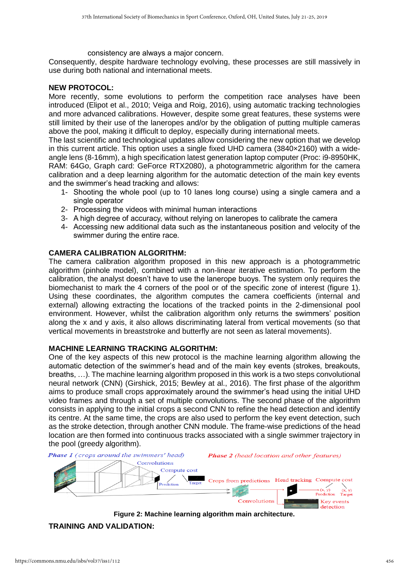consistency are always a major concern.

Consequently, despite hardware technology evolving, these processes are still massively in use during both national and international meets.

#### **NEW PROTOCOL:**

More recently, some evolutions to perform the competition race analyses have been introduced (Elipot et al., 2010; Veiga and Roig, 2016), using automatic tracking technologies and more advanced calibrations. However, despite some great features, these systems were still limited by their use of the laneropes and/or by the obligation of putting multiple cameras above the pool, making it difficult to deploy, especially during international meets.

The last scientific and technological updates allow considering the new option that we develop in this current article. This option uses a single fixed UHD camera (3840×2160) with a wideangle lens (8-16mm), a high specification latest generation laptop computer (Proc: i9-8950HK, RAM: 64Go, Graph card: GeForce RTX2080), a photogrammetric algorithm for the camera calibration and a deep learning algorithm for the automatic detection of the main key events and the swimmer's head tracking and allows:

- 1- Shooting the whole pool (up to 10 lanes long course) using a single camera and a single operator
- 2- Processing the videos with minimal human interactions
- 3- A high degree of accuracy, without relying on laneropes to calibrate the camera
- 4- Accessing new additional data such as the instantaneous position and velocity of the swimmer during the entire race.

### **CAMERA CALIBRATION ALGORITHM:**

The camera calibration algorithm proposed in this new approach is a photogrammetric algorithm (pinhole model), combined with a non-linear iterative estimation. To perform the calibration, the analyst doesn't have to use the lanerope buoys. The system only requires the biomechanist to mark the 4 corners of the pool or of the specific zone of interest (figure 1). Using these coordinates, the algorithm computes the camera coefficients (internal and external) allowing extracting the locations of the tracked points in the 2-dimensional pool environment. However, whilst the calibration algorithm only returns the swimmers' position along the x and y axis, it also allows discriminating lateral from vertical movements (so that vertical movements in breaststroke and butterfly are not seen as lateral movements).

#### **MACHINE LEARNING TRACKING ALGORITHM:**

One of the key aspects of this new protocol is the machine learning algorithm allowing the automatic detection of the swimmer's head and of the main key events (strokes, breakouts, breaths, …). The machine learning algorithm proposed in this work is a two steps convolutional neural network (CNN) (Girshick, 2015; Bewley at al., 2016). The first phase of the algorithm aims to produce small crops approximately around the swimmer's head using the initial UHD video frames and through a set of multiple convolutions. The second phase of the algorithm consists in applying to the initial crops a second CNN to refine the head detection and identify its centre. At the same time, the crops are also used to perform the key event detection, such as the stroke detection, through another CNN module. The frame-wise predictions of the head location are then formed into continuous tracks associated with a single swimmer trajectory in the pool (greedy algorithm).



**Figure 2: Machine learning algorithm main architecture.**

**TRAINING AND VALIDATION:**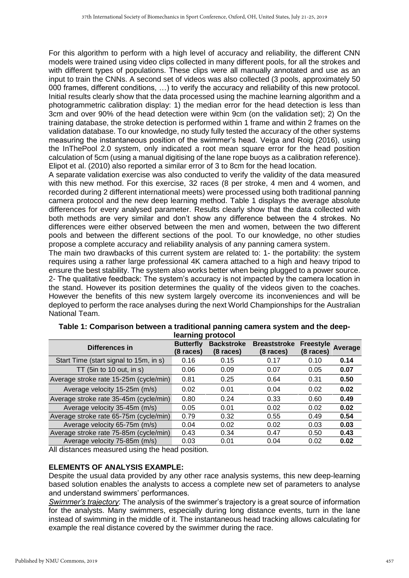For this algorithm to perform with a high level of accuracy and reliability, the different CNN models were trained using video clips collected in many different pools, for all the strokes and with different types of populations. These clips were all manually annotated and use as an input to train the CNNs. A second set of videos was also collected (3 pools, approximately 50 000 frames, different conditions, …) to verify the accuracy and reliability of this new protocol. Initial results clearly show that the data processed using the machine learning algorithm and a photogrammetric calibration display: 1) the median error for the head detection is less than 3cm and over 90% of the head detection were within 9cm (on the validation set); 2) On the training database, the stroke detection is performed within 1 frame and within 2 frames on the validation database. To our knowledge, no study fully tested the accuracy of the other systems measuring the instantaneous position of the swimmer's head. Veiga and Roig (2016), using the InThePool 2.0 system, only indicated a root mean square error for the head position calculation of 5cm (using a manual digitising of the lane rope buoys as a calibration reference). Elipot et al. (2010) also reported a similar error of 3 to 8cm for the head location.

A separate validation exercise was also conducted to verify the validity of the data measured with this new method. For this exercise, 32 races (8 per stroke, 4 men and 4 women, and recorded during 2 different international meets) were processed using both traditional panning camera protocol and the new deep learning method. Table 1 displays the average absolute differences for every analysed parameter. Results clearly show that the data collected with both methods are very similar and don't show any difference between the 4 strokes. No differences were either observed between the men and women, between the two different pools and between the different sections of the pool. To our knowledge, no other studies propose a complete accuracy and reliability analysis of any panning camera system.

The main two drawbacks of this current system are related to: 1- the portability: the system requires using a rather large professional 4K camera attached to a high and heavy tripod to ensure the best stability. The system also works better when being plugged to a power source. 2- The qualitative feedback: The system's accuracy is not impacted by the camera location in the stand. However its position determines the quality of the videos given to the coaches. However the benefits of this new system largely overcome its inconveniences and will be deployed to perform the race analyses during the next World Championships for the Australian National Team.

| Differences in                         | <b>Butterfly</b><br>(8 races) | <b>Backstroke</b><br>(8 races) | <b>Breaststroke</b><br>$(8 \text{ races})$ | <b>Freestyle</b><br>$(8 \text{ races})$ | Average |
|----------------------------------------|-------------------------------|--------------------------------|--------------------------------------------|-----------------------------------------|---------|
| Start Time (start signal to 15m, in s) | 0.16                          | 0.15                           | 0.17                                       | 0.10                                    | 0.14    |
| TT (5in to 10 out, in s)               | 0.06                          | 0.09                           | 0.07                                       | 0.05                                    | 0.07    |
| Average stroke rate 15-25m (cycle/min) | 0.81                          | 0.25                           | 0.64                                       | 0.31                                    | 0.50    |
| Average velocity 15-25m (m/s)          | 0.02                          | 0.01                           | 0.04                                       | 0.02                                    | 0.02    |
| Average stroke rate 35-45m (cycle/min) | 0.80                          | 0.24                           | 0.33                                       | 0.60                                    | 0.49    |
| Average velocity 35-45m (m/s)          | 0.05                          | 0.01                           | 0.02                                       | 0.02                                    | 0.02    |
| Average stroke rate 65-75m (cycle/min) | 0.79                          | 0.32                           | 0.55                                       | 0.49                                    | 0.54    |
| Average velocity 65-75m (m/s)          | 0.04                          | 0.02                           | 0.02                                       | 0.03                                    | 0.03    |
| Average stroke rate 75-85m (cycle/min) | 0.43                          | 0.34                           | 0.47                                       | 0.50                                    | 0.43    |
| Average velocity 75-85m (m/s)          | 0.03                          | 0.01                           | 0.04                                       | 0.02                                    | 0.02    |

| Table 1: Comparison between a traditional panning camera system and the deep- |
|-------------------------------------------------------------------------------|
| learning protocol                                                             |

All distances measured using the head position.

### **ELEMENTS OF ANALYSIS EXAMPLE:**

Despite the usual data provided by any other race analysis systems, this new deep-learning based solution enables the analysts to access a complete new set of parameters to analyse and understand swimmers' performances.

*Swimmer's trajectory*: The analysis of the swimmer's trajectory is a great source of information for the analysts. Many swimmers, especially during long distance events, turn in the lane instead of swimming in the middle of it. The instantaneous head tracking allows calculating for example the real distance covered by the swimmer during the race.